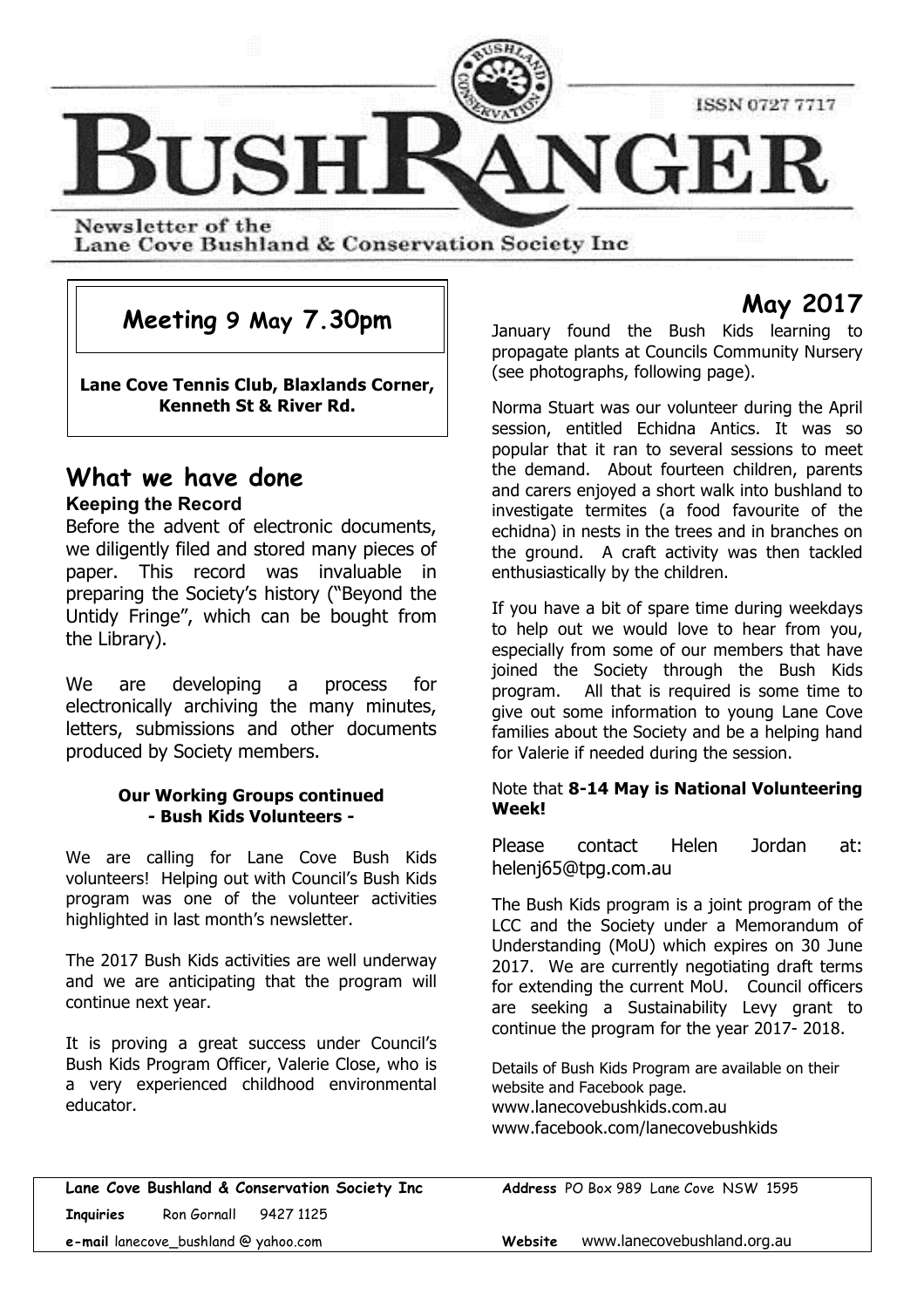

Newsletter of the Lane Cove Bushland & Conservation Society Inc

## **Meeting 9 May 7.30pm**

**Lane Cove Tennis Club, Blaxlands Corner, Kenneth St & River Rd.**

#### **What we have done Keeping the Record**

Before the advent of electronic documents, we diligently filed and stored many pieces of paper. This record was invaluable in preparing the Society's history ("Beyond the Untidy Fringe", which can be bought from the Library).

We are developing a process for electronically archiving the many minutes, letters, submissions and other documents produced by Society members.

#### **Our Working Groups continued - Bush Kids Volunteers -**

We are calling for Lane Cove Bush Kids volunteers! Helping out with Council's Bush Kids program was one of the volunteer activities highlighted in last month's newsletter.

The 2017 Bush Kids activities are well underway and we are anticipating that the program will continue next year.

It is proving a great success under Council's Bush Kids Program Officer, Valerie Close, who is a very experienced childhood environmental educator.

**May 2017**

January found the Bush Kids learning to propagate plants at Councils Community Nursery (see photographs, following page).

Norma Stuart was our volunteer during the April session, entitled Echidna Antics. It was so popular that it ran to several sessions to meet the demand. About fourteen children, parents and carers enjoyed a short walk into bushland to investigate termites (a food favourite of the echidna) in nests in the trees and in branches on the ground. A craft activity was then tackled enthusiastically by the children.

If you have a bit of spare time during weekdays to help out we would love to hear from you, especially from some of our members that have joined the Society through the Bush Kids program. All that is required is some time to give out some information to young Lane Cove families about the Society and be a helping hand for Valerie if needed during the session.

#### Note that **8-14 May is National Volunteering Week!**

Please contact Helen Jordan at: helenj65@tpg.com.au

The Bush Kids program is a joint program of the LCC and the Society under a Memorandum of Understanding (MoU) which expires on 30 June 2017. We are currently negotiating draft terms for extending the current MoU. Council officers are seeking a Sustainability Levy grant to continue the program for the year 2017- 2018.

Details of Bush Kids Program are available on their website and Facebook page. www.lanecovebushkids.com.au www.facebook.com/lanecovebushkids

**Lane Cove Bushland & Conservation Society Inc Address** PO Box 989 Lane Cove NSW 1595 **Inquiries** Ron Gornall 9427 1125 **e-mail** lanecove\_bushland @ yahoo.com **Website** www.lanecovebushland.org.au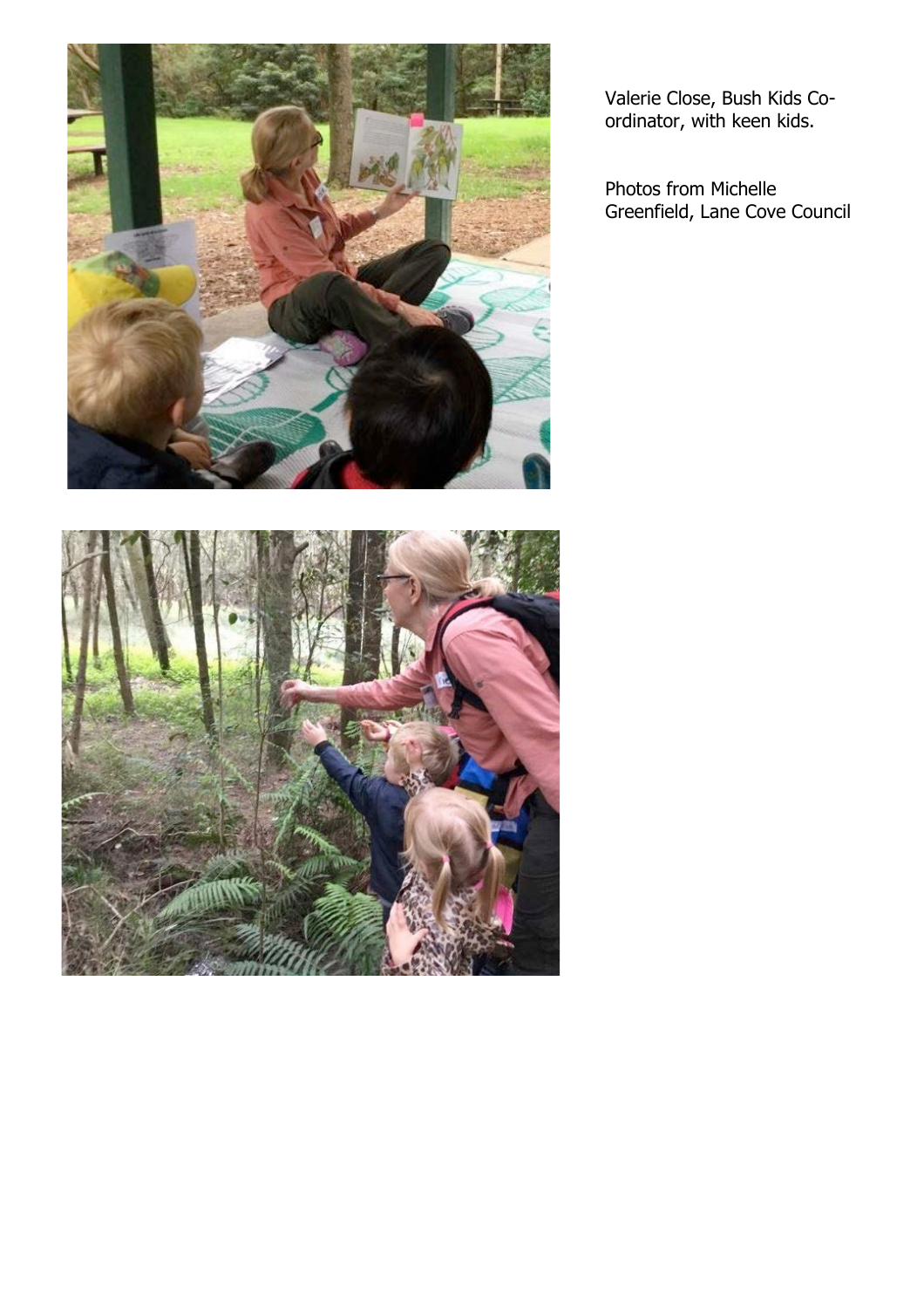



Valerie Close, Bush Kids Coordinator, with keen kids.

Photos from Michelle Greenfield, Lane Cove Council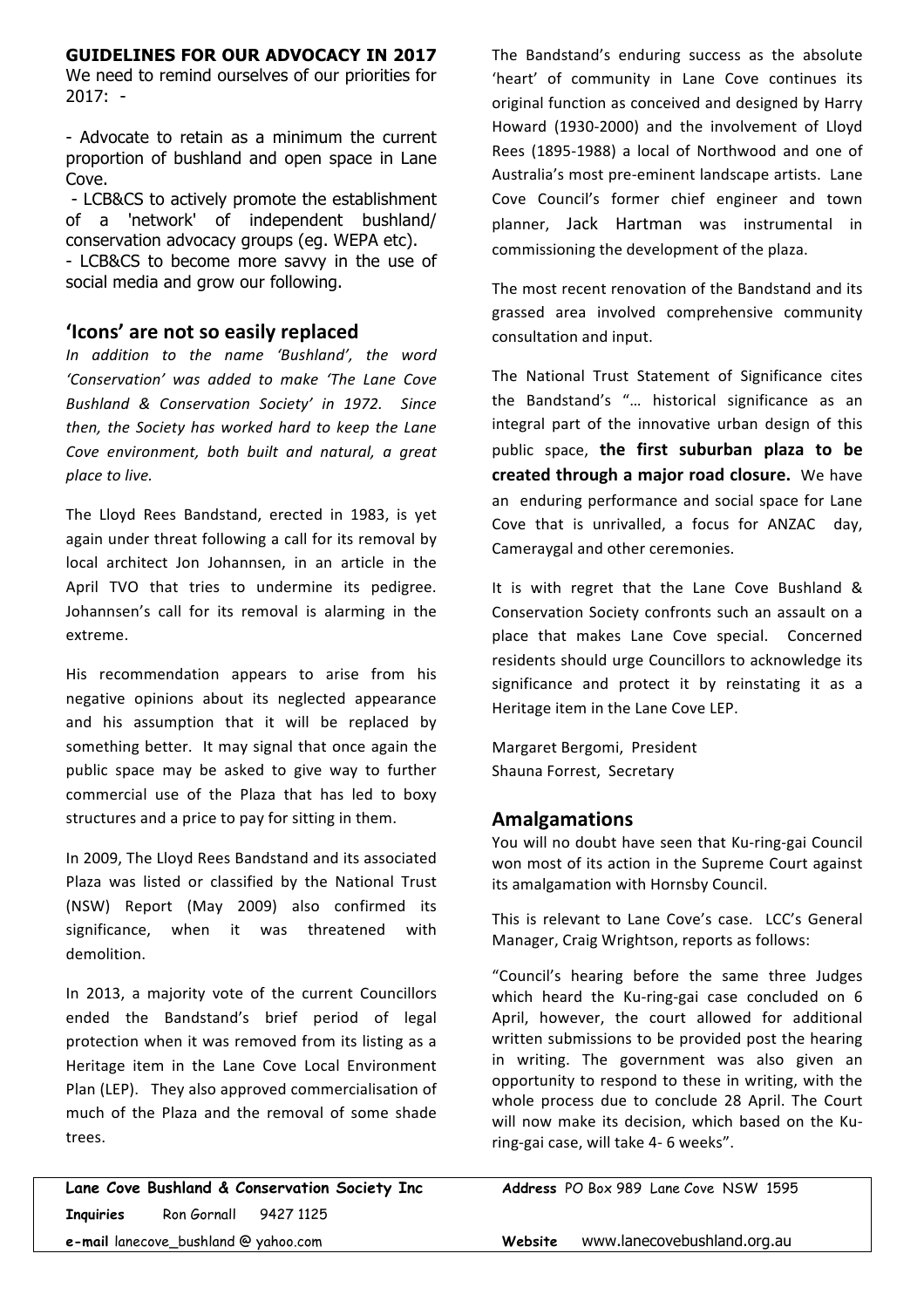#### **GUIDELINES FOR OUR ADVOCACY IN 2017**

We need to remind ourselves of our priorities for  $2017: -$ 

- Advocate to retain as a minimum the current proportion of bushland and open space in Lane Cove.

- LCB&CS to actively promote the establishment of a 'network' of independent bushland/ conservation advocacy groups (eg. WEPA etc). - LCB&CS to become more savvy in the use of social media and grow our following.

#### **'Icons' are not so easily replaced**

*In addition to the name 'Bushland', the word 'Conservation' was added to make 'The Lane Cove Bushland & Conservation Society' in 1972. Since then, the Society has worked hard to keep the Lane* Cove environment, both built and natural, a great *place to live.* 

The Lloyd Rees Bandstand, erected in 1983, is yet again under threat following a call for its removal by local architect Jon Johannsen, in an article in the April TVO that tries to undermine its pedigree. Johannsen's call for its removal is alarming in the extreme.

His recommendation appears to arise from his negative opinions about its neglected appearance and his assumption that it will be replaced by something better. It may signal that once again the public space may be asked to give way to further commercial use of the Plaza that has led to boxy structures and a price to pay for sitting in them.

In 2009, The Lloyd Rees Bandstand and its associated Plaza was listed or classified by the National Trust (NSW) Report (May 2009) also confirmed its significance, when it was threatened with demolition.

In 2013, a majority vote of the current Councillors ended the Bandstand's brief period of legal protection when it was removed from its listing as a Heritage item in the Lane Cove Local Environment Plan (LEP). They also approved commercialisation of much of the Plaza and the removal of some shade trees.

**Lane Cove Bushland & Conservation Society Inc Address** PO Box 989 Lane Cove NSW 1595 **Inquiries** Ron Gornall 9427 1125 **e-mail** lanecove\_bushland @ yahoo.com **Website** www.lanecovebushland.org.au

The Bandstand's enduring success as the absolute 'heart' of community in Lane Cove continues its original function as conceived and designed by Harry Howard (1930-2000) and the involvement of Lloyd Rees (1895-1988) a local of Northwood and one of Australia's most pre-eminent landscape artists. Lane Cove Council's former chief engineer and town planner. Jack Hartman was instrumental in commissioning the development of the plaza.

The most recent renovation of the Bandstand and its grassed area involved comprehensive community consultation and input.

The National Trust Statement of Significance cites the Bandstand's "... historical significance as an integral part of the innovative urban design of this public space, the first suburban plaza to be **created through a major road closure.** We have an enduring performance and social space for Lane Cove that is unrivalled, a focus for ANZAC day, Cameraygal and other ceremonies.

It is with regret that the Lane Cove Bushland & Conservation Society confronts such an assault on a place that makes Lane Cove special. Concerned residents should urge Councillors to acknowledge its significance and protect it by reinstating it as a Heritage item in the Lane Cove LEP.

Margaret Bergomi, President Shauna Forrest, Secretary

#### **Amalgamations**

You will no doubt have seen that Ku-ring-gai Council won most of its action in the Supreme Court against its amalgamation with Hornsby Council.

This is relevant to Lane Cove's case. LCC's General Manager, Craig Wrightson, reports as follows:

"Council's hearing before the same three Judges which heard the Ku-ring-gai case concluded on 6 April, however, the court allowed for additional written submissions to be provided post the hearing in writing. The government was also given an opportunity to respond to these in writing, with the whole process due to conclude 28 April. The Court will now make its decision, which based on the Kuring-gai case, will take 4- 6 weeks".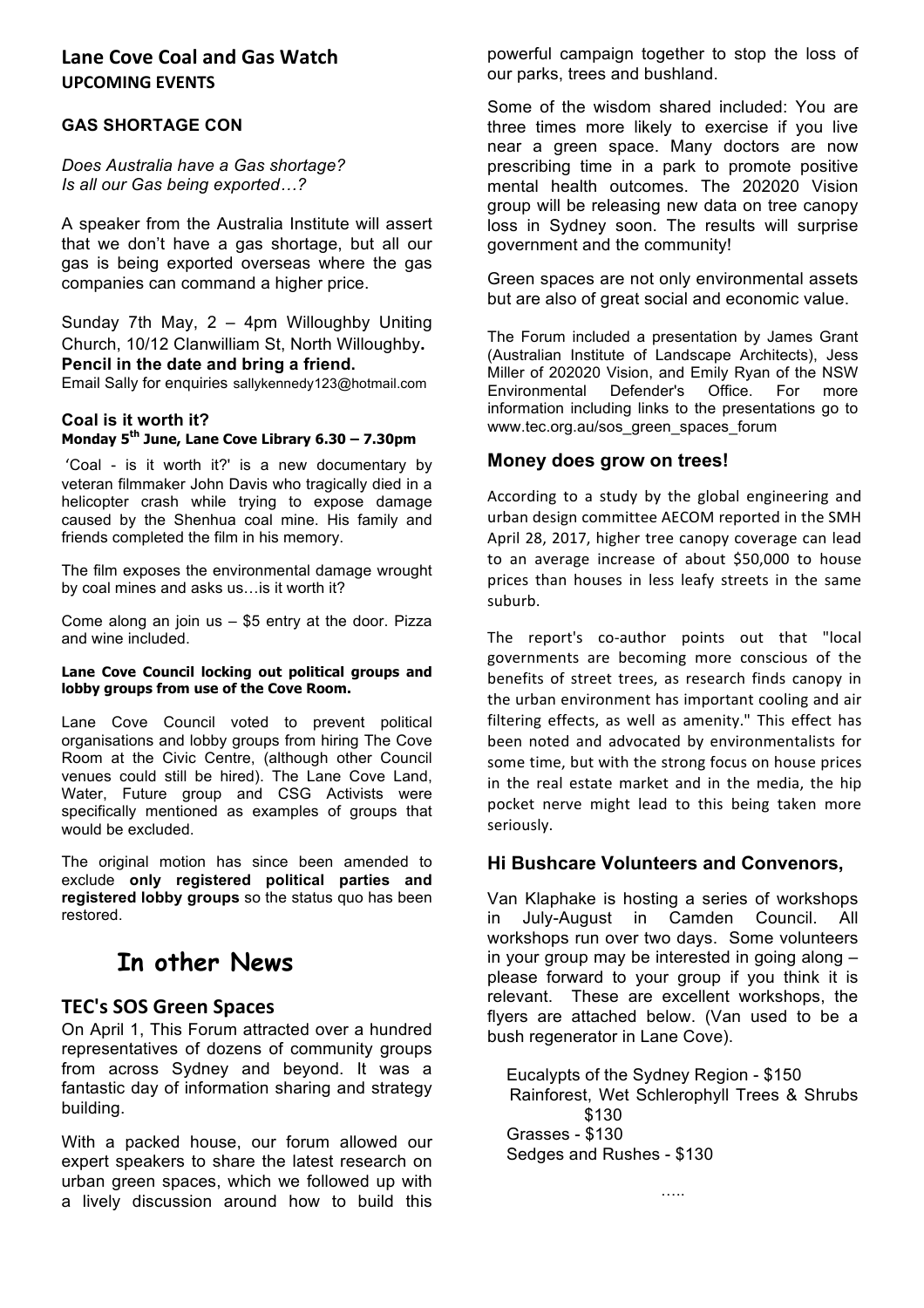#### Lane Cove Coal and Gas Watch **UPCOMING EVENTS**

#### **GAS SHORTAGE CON**

*Does Australia have a Gas shortage? Is all our Gas being exported…?*

A speaker from the Australia Institute will assert that we don't have a gas shortage, but all our gas is being exported overseas where the gas companies can command a higher price.

Sunday 7th May, 2 – 4pm Willoughby Uniting Church, 10/12 Clanwilliam St, North Willoughby**. Pencil in the date and bring a friend.**

Email Sally for enquiries sallykennedy123@hotmail.com

#### **Coal is it worth it? Monday 5th June, Lane Cove Library 6.30 – 7.30pm**

'Coal - is it worth it?' is a new documentary by veteran filmmaker John Davis who tragically died in a helicopter crash while trying to expose damage caused by the Shenhua coal mine. His family and friends completed the film in his memory.

The film exposes the environmental damage wrought by coal mines and asks us…is it worth it?

Come along an join us – \$5 entry at the door. Pizza and wine included.

#### **Lane Cove Council locking out political groups and lobby groups from use of the Cove Room.**

Lane Cove Council voted to prevent political organisations and lobby groups from hiring The Cove Room at the Civic Centre, (although other Council venues could still be hired). The Lane Cove Land, Water, Future group and CSG Activists were specifically mentioned as examples of groups that would be excluded.

The original motion has since been amended to exclude **only registered political parties and registered lobby groups** so the status quo has been restored.

## **In other News**

#### **TEC's SOS Green Spaces**

On April 1, This Forum attracted over a hundred representatives of dozens of community groups from across Sydney and beyond. It was a fantastic day of information sharing and strategy building.

With a packed house, our forum allowed our expert speakers to share the latest research on urban green spaces, which we followed up with a lively discussion around how to build this

powerful campaign together to stop the loss of our parks, trees and bushland.

Some of the wisdom shared included: You are three times more likely to exercise if you live near a green space. Many doctors are now prescribing time in a park to promote positive mental health outcomes. The 202020 Vision group will be releasing new data on tree canopy loss in Sydney soon. The results will surprise government and the community!

Green spaces are not only environmental assets but are also of great social and economic value.

The Forum included a presentation by James Grant (Australian Institute of Landscape Architects), Jess Miller of 202020 Vision, and Emily Ryan of the NSW Environmental Defender's Office. For more information including links to the presentations go to www.tec.org.au/sos\_green\_spaces\_forum

#### **Money does grow on trees!**

According to a study by the global engineering and urban design committee AECOM reported in the SMH April 28, 2017, higher tree canopy coverage can lead to an average increase of about \$50,000 to house prices than houses in less leafy streets in the same suburb. 

The report's co-author points out that "local governments are becoming more conscious of the benefits of street trees, as research finds canopy in the urban environment has important cooling and air filtering effects, as well as amenity." This effect has been noted and advocated by environmentalists for some time, but with the strong focus on house prices in the real estate market and in the media, the hip pocket nerve might lead to this being taken more seriously.

#### **Hi Bushcare Volunteers and Convenors,**

Van Klaphake is hosting a series of workshops in July-August in Camden Council. All workshops run over two days. Some volunteers in your group may be interested in going along – please forward to your group if you think it is relevant. These are excellent workshops, the flyers are attached below. (Van used to be a bush regenerator in Lane Cove).

 Eucalypts of the Sydney Region - \$150 Rainforest, Wet Schlerophyll Trees & Shrubs \$130 Grasses - \$130 Sedges and Rushes - \$130

…..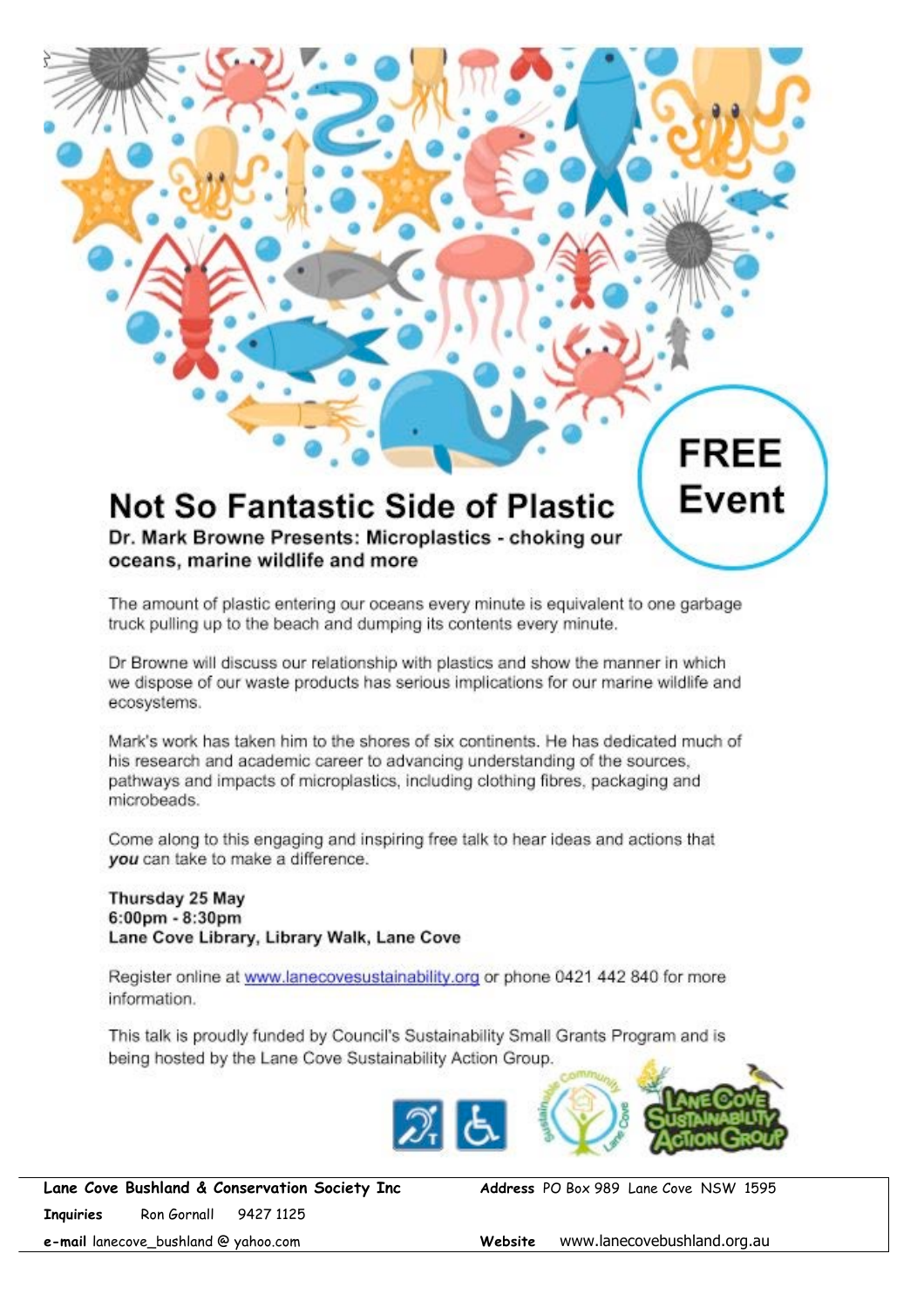# **Not So Fantastic Side of Plastic**

Dr. Mark Browne Presents: Microplastics - choking our oceans, marine wildlife and more

The amount of plastic entering our oceans every minute is equivalent to one garbage truck pulling up to the beach and dumping its contents every minute.

Dr Browne will discuss our relationship with plastics and show the manner in which we dispose of our waste products has serious implications for our marine wildlife and ecosystems.

Mark's work has taken him to the shores of six continents. He has dedicated much of his research and academic career to advancing understanding of the sources, pathways and impacts of microplastics, including clothing fibres, packaging and microbeads.

Come along to this engaging and inspiring free talk to hear ideas and actions that vou can take to make a difference.

Thursday 25 May  $6:00 \text{pm} - 8:30 \text{pm}$ Lane Cove Library, Library Walk, Lane Cove

Register online at www.lanecovesustainability.org or phone 0421 442 840 for more information.

This talk is proudly funded by Council's Sustainability Small Grants Program and is being hosted by the Lane Cove Sustainability Action Group.



**Lane Cove Bushland & Conservation Society Inc Address** PO Box 989 Lane Cove NSW 1595 **Inquiries** Ron Gornall 9427 1125

**FREE** 

**Event** 

**e-mail** lanecove\_bushland @ yahoo.com **Website** www.lanecovebushland.org.au